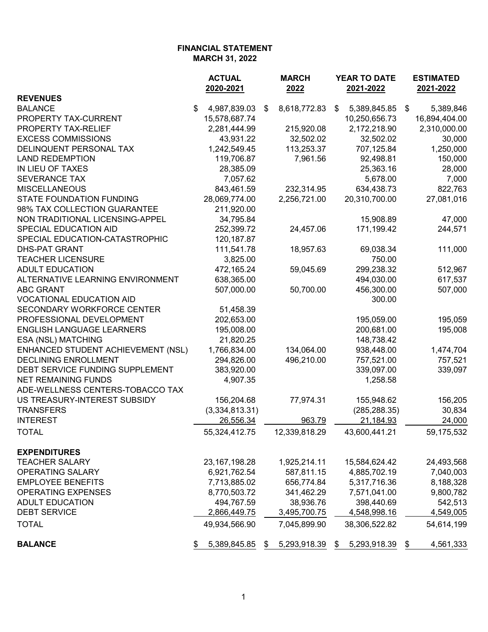|                                    | <b>ACTUAL</b><br>2020-2021 | <b>MARCH</b><br>2022 | YEAR TO DATE<br>2021-2022 | <b>ESTIMATED</b><br>2021-2022 |  |
|------------------------------------|----------------------------|----------------------|---------------------------|-------------------------------|--|
| <b>REVENUES</b>                    |                            |                      |                           |                               |  |
| <b>BALANCE</b>                     | \$<br>4,987,839.03         | 8,618,772.83<br>\$   | 5,389,845.85 \$<br>\$     | 5,389,846                     |  |
| PROPERTY TAX-CURRENT               | 15,578,687.74              |                      | 10,250,656.73             | 16,894,404.00                 |  |
| PROPERTY TAX-RELIEF                | 2,281,444.99               | 215,920.08           | 2,172,218.90              | 2,310,000.00                  |  |
| <b>EXCESS COMMISSIONS</b>          | 43,931.22                  | 32,502.02            | 32,502.02                 | 30,000                        |  |
| DELINQUENT PERSONAL TAX            | 1,242,549.45               | 113,253.37           | 707,125.84                | 1,250,000                     |  |
| <b>LAND REDEMPTION</b>             | 119,706.87                 | 7,961.56             | 92,498.81                 | 150,000                       |  |
| IN LIEU OF TAXES                   | 28,385.09                  |                      | 25,363.16                 | 28,000                        |  |
| SEVERANCE TAX                      | 7,057.62                   |                      | 5,678.00                  | 7,000                         |  |
| <b>MISCELLANEOUS</b>               | 843,461.59                 | 232,314.95           | 634,438.73                | 822,763                       |  |
| <b>STATE FOUNDATION FUNDING</b>    | 28,069,774.00              | 2,256,721.00         | 20,310,700.00             | 27,081,016                    |  |
| 98% TAX COLLECTION GUARANTEE       | 211,920.00                 |                      |                           |                               |  |
| NON TRADITIONAL LICENSING-APPEL    | 34,795.84                  |                      | 15,908.89                 | 47,000                        |  |
| SPECIAL EDUCATION AID              | 252,399.72                 | 24,457.06            | 171,199.42                | 244,571                       |  |
| SPECIAL EDUCATION-CATASTROPHIC     | 120, 187.87                |                      |                           |                               |  |
| <b>DHS-PAT GRANT</b>               | 111,541.78                 | 18,957.63            | 69,038.34                 | 111,000                       |  |
| <b>TEACHER LICENSURE</b>           | 3,825.00                   |                      | 750.00                    |                               |  |
| <b>ADULT EDUCATION</b>             | 472,165.24                 | 59,045.69            | 299,238.32                | 512,967                       |  |
| ALTERNATIVE LEARNING ENVIRONMENT   | 638,365.00                 |                      | 494,030.00                | 617,537                       |  |
| <b>ABC GRANT</b>                   | 507,000.00                 | 50,700.00            | 456,300.00                | 507,000                       |  |
| <b>VOCATIONAL EDUCATION AID</b>    |                            |                      | 300.00                    |                               |  |
| SECONDARY WORKFORCE CENTER         | 51,458.39                  |                      |                           |                               |  |
| PROFESSIONAL DEVELOPMENT           | 202,653.00                 |                      | 195,059.00                | 195,059                       |  |
| <b>ENGLISH LANGUAGE LEARNERS</b>   | 195,008.00                 |                      | 200,681.00                | 195,008                       |  |
| ESA (NSL) MATCHING                 | 21,820.25                  |                      | 148,738.42                |                               |  |
| ENHANCED STUDENT ACHIEVEMENT (NSL) | 1,766,834.00               | 134,064.00           | 938,448.00                | 1,474,704                     |  |
| DECLINING ENROLLMENT               | 294,826.00                 | 496,210.00           | 757,521.00                | 757,521                       |  |
| DEBT SERVICE FUNDING SUPPLEMENT    | 383,920.00                 |                      | 339,097.00                | 339,097                       |  |
| <b>NET REMAINING FUNDS</b>         | 4,907.35                   |                      | 1,258.58                  |                               |  |
| ADE-WELLNESS CENTERS-TOBACCO TAX   |                            |                      |                           |                               |  |
| US TREASURY-INTEREST SUBSIDY       | 156,204.68                 | 77,974.31            | 155,948.62                | 156,205                       |  |
| <b>TRANSFERS</b>                   | (3,334,813.31)             |                      | (285, 288.35)             | 30,834                        |  |
| <b>INTEREST</b>                    | 26,556.34                  | 963.79               | 21,184.93                 | 24,000                        |  |
| <b>TOTAL</b>                       | 55,324,412.75              | 12,339,818.29        | 43,600,441.21             | 59,175,532                    |  |
| <b>EXPENDITURES</b>                |                            |                      |                           |                               |  |
| <b>TEACHER SALARY</b>              | 23, 167, 198. 28           | 1,925,214.11         | 15,584,624.42             | 24,493,568                    |  |
| OPERATING SALARY                   | 6,921,762.54               | 587,811.15           | 4,885,702.19              | 7,040,003                     |  |
| <b>EMPLOYEE BENEFITS</b>           | 7,713,885.02               | 656,774.84           | 5,317,716.36              | 8,188,328                     |  |
| <b>OPERATING EXPENSES</b>          | 8,770,503.72               | 341,462.29           | 7,571,041.00              | 9,800,782                     |  |
| <b>ADULT EDUCATION</b>             | 494,767.59                 | 38,936.76            | 398,440.69                | 542,513                       |  |
| <b>DEBT SERVICE</b>                | 2,866,449.75               | 3,495,700.75         | 4,548,998.16              | 4,549,005                     |  |
| <b>TOTAL</b>                       | 49,934,566.90              | 7,045,899.90         | 38,306,522.82             | 54,614,199                    |  |
| <b>BALANCE</b>                     | 5,389,845.85               | 5,293,918.39<br>\$   | 5,293,918.39<br>\$        | 4,561,333<br>\$               |  |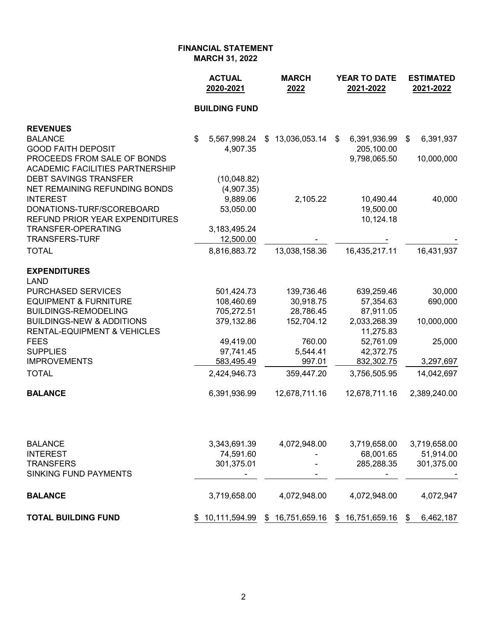|                                                                        | <b>ACTUAL</b><br>2020-2021 | <b>MARCH</b><br>2022 | YEAR TO DATE<br>2021-2022 |                        |    | <b>ESTIMATED</b><br>2021-2022 |  |  |
|------------------------------------------------------------------------|----------------------------|----------------------|---------------------------|------------------------|----|-------------------------------|--|--|
|                                                                        | <b>BUILDING FUND</b>       |                      |                           |                        |    |                               |  |  |
| <b>REVENUES</b>                                                        |                            |                      |                           |                        |    |                               |  |  |
| <b>BALANCE</b>                                                         | \$<br>5,567,998.24         | \$13,036,053.14      | \$                        | 6,391,936.99           | \$ | 6,391,937                     |  |  |
| <b>GOOD FAITH DEPOSIT</b>                                              | 4,907.35                   |                      |                           | 205,100.00             |    |                               |  |  |
| PROCEEDS FROM SALE OF BONDS                                            |                            |                      |                           | 9,798,065.50           |    | 10,000,000                    |  |  |
| <b>ACADEMIC FACILITIES PARTNERSHIP</b><br><b>DEBT SAVINGS TRANSFER</b> | (10,048.82)                |                      |                           |                        |    |                               |  |  |
| NET REMAINING REFUNDING BONDS                                          | (4,907.35)                 |                      |                           |                        |    |                               |  |  |
| <b>INTEREST</b>                                                        | 9,889.06                   | 2,105.22             |                           | 10,490.44              |    | 40,000                        |  |  |
| DONATIONS-TURF/SCOREBOARD                                              | 53,050.00                  |                      |                           | 19,500.00              |    |                               |  |  |
| REFUND PRIOR YEAR EXPENDITURES                                         |                            |                      |                           | 10,124.18              |    |                               |  |  |
| TRANSFER-OPERATING                                                     | 3,183,495.24               |                      |                           |                        |    |                               |  |  |
| <b>TRANSFERS-TURF</b>                                                  | 12,500.00                  |                      |                           |                        |    |                               |  |  |
| <b>TOTAL</b>                                                           | 8,816,883.72               | 13,038,158.36        |                           | 16,435,217.11          |    | 16,431,937                    |  |  |
| <b>EXPENDITURES</b>                                                    |                            |                      |                           |                        |    |                               |  |  |
| LAND                                                                   |                            |                      |                           |                        |    |                               |  |  |
| PURCHASED SERVICES                                                     | 501,424.73                 | 139,736.46           |                           | 639,259.46             |    | 30,000                        |  |  |
| <b>EQUIPMENT &amp; FURNITURE</b>                                       | 108,460.69                 | 30,918.75            |                           | 57,354.63              |    | 690,000                       |  |  |
| BUILDINGS-REMODELING                                                   | 705,272.51                 | 28,786.45            |                           | 87,911.05              |    |                               |  |  |
| <b>BUILDINGS-NEW &amp; ADDITIONS</b>                                   | 379,132.86                 | 152,704.12           |                           | 2,033,268.39           |    | 10,000,000                    |  |  |
| RENTAL-EQUIPMENT & VEHICLES                                            |                            |                      |                           | 11,275.83              |    |                               |  |  |
| FEES<br><b>SUPPLIES</b>                                                | 49,419.00<br>97,741.45     | 760.00<br>5,544.41   |                           | 52,761.09<br>42,372.75 |    | 25,000                        |  |  |
| <b>IMPROVEMENTS</b>                                                    | 583,495.49                 | 997.01               |                           | 832,302.75             |    | 3,297,697                     |  |  |
| <b>TOTAL</b>                                                           | 2,424,946.73               | 359,447.20           |                           | 3,756,505.95           |    | 14,042,697                    |  |  |
|                                                                        |                            |                      |                           |                        |    |                               |  |  |
| <b>BALANCE</b>                                                         | 6,391,936.99               | 12,678,711.16        |                           | 12,678,711.16          |    | 2,389,240.00                  |  |  |
|                                                                        |                            |                      |                           |                        |    |                               |  |  |
| BALANCE                                                                | 3,343,691.39               | 4,072,948.00         |                           | 3,719,658.00           |    | 3,719,658.00                  |  |  |
| INTEREST                                                               | 74,591.60                  |                      |                           | 68,001.65              |    | 51,914.00                     |  |  |
| <b>TRANSFERS</b><br>SINKING FUND PAYMENTS                              | 301,375.01                 |                      |                           | 285,288.35             |    | 301,375.00                    |  |  |
|                                                                        |                            |                      |                           |                        |    |                               |  |  |
| <b>BALANCE</b>                                                         | 3,719,658.00               | 4,072,948.00         |                           | 4,072,948.00           |    | 4,072,947                     |  |  |
|                                                                        |                            |                      |                           |                        |    |                               |  |  |

**TOTAL BUILDING FUND**  $\frac{$10,111,594.99}{$\frac{10,111,594.99}{$\frac{16,751,659.16}{$\frac{16,751,659.16}{$\frac{16,751,659.16}{$\frac{16,751,659.16}{$\frac{16,751,659.16}{$\frac{16,751,659.16}{$\frac{16,751,659.16}{$\frac{16,751,659.16}{$\frac{16,751,659.16}{$\frac{16,751,65$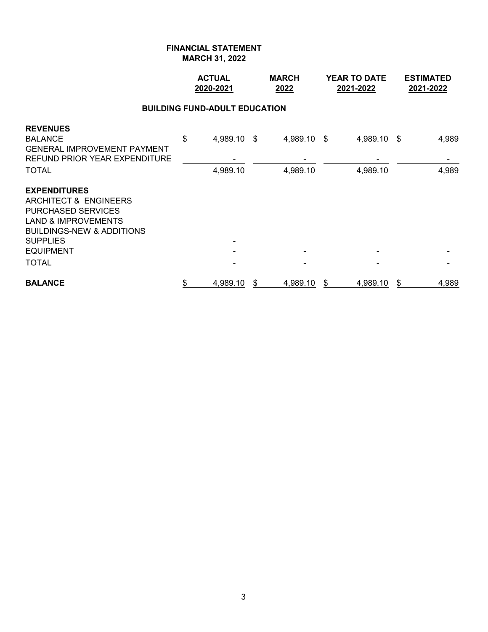|                                                                                                                                                                                                            | <b>ACTUAL</b><br><b>MARCH</b><br>2020-2021<br>2022 |    |                         | <b>YEAR TO DATE</b><br>2021-2022 | <b>ESTIMATED</b><br>2021-2022 |                |
|------------------------------------------------------------------------------------------------------------------------------------------------------------------------------------------------------------|----------------------------------------------------|----|-------------------------|----------------------------------|-------------------------------|----------------|
|                                                                                                                                                                                                            | <b>BUILDING FUND-ADULT EDUCATION</b>               |    |                         |                                  |                               |                |
| <b>REVENUES</b><br><b>BALANCE</b><br><b>GENERAL IMPROVEMENT PAYMENT</b><br><b>REFUND PRIOR YEAR EXPENDITURE</b><br><b>TOTAL</b>                                                                            | \$<br>4,989.10 \$<br>4,989.10                      |    | 4,989.10 \$<br>4,989.10 | 4,989.10 \$<br>4,989.10          |                               | 4,989<br>4,989 |
| <b>EXPENDITURES</b><br>ARCHITECT & ENGINEERS<br><b>PURCHASED SERVICES</b><br><b>LAND &amp; IMPROVEMENTS</b><br><b>BUILDINGS-NEW &amp; ADDITIONS</b><br><b>SUPPLIES</b><br><b>EQUIPMENT</b><br><b>TOTAL</b> |                                                    |    |                         |                                  |                               |                |
| <b>BALANCE</b>                                                                                                                                                                                             | \$<br>4,989.10                                     | \$ | 4,989.10                | \$<br>4,989.10                   | \$                            | 4,989          |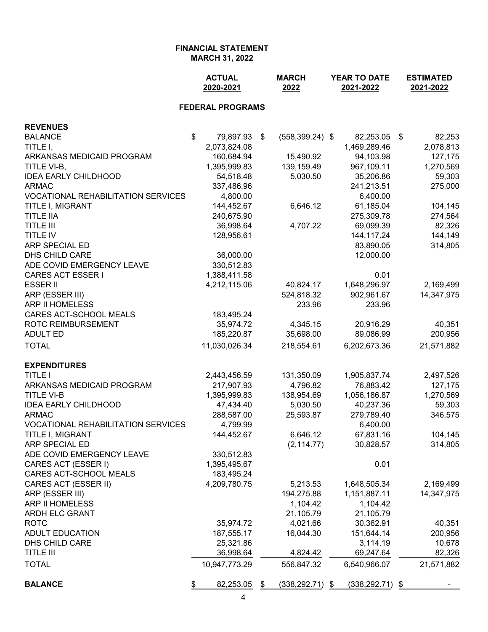|                                           | <b>ACTUAL</b><br>2020-2021 |                         |    | <b>MARCH</b><br>2022 | YEAR TO DATE<br>2021-2022 |                    |    | <b>ESTIMATED</b><br>2021-2022 |  |  |  |  |  |
|-------------------------------------------|----------------------------|-------------------------|----|----------------------|---------------------------|--------------------|----|-------------------------------|--|--|--|--|--|
|                                           |                            | <b>FEDERAL PROGRAMS</b> |    |                      |                           |                    |    |                               |  |  |  |  |  |
| <b>REVENUES</b>                           |                            |                         |    |                      |                           |                    |    |                               |  |  |  |  |  |
| <b>BALANCE</b>                            | \$                         | 79,897.93               | \$ | $(558, 399.24)$ \$   |                           | 82,253.05          | \$ | 82,253                        |  |  |  |  |  |
| TITLE I,                                  |                            | 2,073,824.08            |    |                      |                           | 1,469,289.46       |    | 2,078,813                     |  |  |  |  |  |
| ARKANSAS MEDICAID PROGRAM                 |                            | 160,684.94              |    | 15,490.92            |                           | 94,103.98          |    | 127,175                       |  |  |  |  |  |
| TITLE VI-B,                               |                            | 1,395,999.83            |    | 139,159.49           |                           | 967,109.11         |    | 1,270,569                     |  |  |  |  |  |
| <b>IDEA EARLY CHILDHOOD</b>               |                            | 54,518.48               |    | 5,030.50             |                           | 35,206.86          |    | 59,303                        |  |  |  |  |  |
| <b>ARMAC</b>                              |                            | 337,486.96              |    |                      |                           | 241,213.51         |    | 275,000                       |  |  |  |  |  |
| <b>VOCATIONAL REHABILITATION SERVICES</b> |                            | 4,800.00                |    |                      |                           | 6,400.00           |    |                               |  |  |  |  |  |
| TITLE I, MIGRANT                          |                            | 144,452.67              |    | 6,646.12             |                           | 61,185.04          |    | 104,145                       |  |  |  |  |  |
| <b>TITLE IIA</b>                          |                            | 240,675.90              |    |                      |                           | 275,309.78         |    | 274,564                       |  |  |  |  |  |
| <b>TITLE III</b>                          |                            | 36,998.64               |    | 4,707.22             |                           | 69,099.39          |    | 82,326                        |  |  |  |  |  |
| <b>TITLE IV</b>                           |                            | 128,956.61              |    |                      |                           | 144, 117.24        |    | 144,149                       |  |  |  |  |  |
| ARP SPECIAL ED                            |                            |                         |    |                      |                           | 83,890.05          |    | 314,805                       |  |  |  |  |  |
| DHS CHILD CARE                            |                            | 36,000.00               |    |                      |                           | 12,000.00          |    |                               |  |  |  |  |  |
| ADE COVID EMERGENCY LEAVE                 |                            | 330,512.83              |    |                      |                           |                    |    |                               |  |  |  |  |  |
| <b>CARES ACT ESSER I</b>                  |                            | 1,388,411.58            |    |                      |                           | 0.01               |    |                               |  |  |  |  |  |
| <b>ESSER II</b>                           |                            | 4,212,115.06            |    | 40,824.17            |                           | 1,648,296.97       |    | 2,169,499                     |  |  |  |  |  |
| ARP (ESSER III)                           |                            |                         |    | 524,818.32           |                           | 902,961.67         |    | 14,347,975                    |  |  |  |  |  |
| ARP II HOMELESS                           |                            |                         |    | 233.96               |                           | 233.96             |    |                               |  |  |  |  |  |
| CARES ACT-SCHOOL MEALS                    |                            | 183,495.24              |    |                      |                           |                    |    |                               |  |  |  |  |  |
| <b>ROTC REIMBURSEMENT</b>                 |                            | 35,974.72               |    | 4,345.15             |                           | 20,916.29          |    | 40,351                        |  |  |  |  |  |
| <b>ADULT ED</b>                           |                            | 185,220.87              |    | 35,698.00            |                           | 89,086.99          |    | 200,956                       |  |  |  |  |  |
| <b>TOTAL</b>                              |                            | 11,030,026.34           |    | 218,554.61           |                           | 6,202,673.36       |    | 21,571,882                    |  |  |  |  |  |
| <b>EXPENDITURES</b>                       |                            |                         |    |                      |                           |                    |    |                               |  |  |  |  |  |
| <b>TITLE I</b>                            |                            | 2,443,456.59            |    | 131,350.09           |                           | 1,905,837.74       |    | 2,497,526                     |  |  |  |  |  |
| ARKANSAS MEDICAID PROGRAM                 |                            | 217,907.93              |    | 4,796.82             |                           | 76,883.42          |    | 127,175                       |  |  |  |  |  |
| <b>TITLE VI-B</b>                         |                            | 1,395,999.83            |    | 138,954.69           |                           | 1,056,186.87       |    | 1,270,569                     |  |  |  |  |  |
| <b>IDEA EARLY CHILDHOOD</b>               |                            | 47,434.40               |    | 5,030.50             |                           | 40,237.36          |    | 59,303                        |  |  |  |  |  |
| <b>ARMAC</b>                              |                            | 288,587.00              |    | 25,593.87            |                           | 279,789.40         |    | 346,575                       |  |  |  |  |  |
| <b>VOCATIONAL REHABILITATION SERVICES</b> |                            | 4,799.99                |    |                      |                           | 6,400.00           |    |                               |  |  |  |  |  |
| TITLE I, MIGRANT                          |                            | 144,452.67              |    | 6,646.12             |                           | 67,831.16          |    | 104,145                       |  |  |  |  |  |
| ARP SPECIAL ED                            |                            |                         |    | (2, 114.77)          |                           | 30,828.57          |    | 314,805                       |  |  |  |  |  |
| ADE COVID EMERGENCY LEAVE                 |                            | 330,512.83              |    |                      |                           |                    |    |                               |  |  |  |  |  |
| CARES ACT (ESSER I)                       |                            | 1,395,495.67            |    |                      |                           | 0.01               |    |                               |  |  |  |  |  |
| CARES ACT-SCHOOL MEALS                    |                            | 183,495.24              |    |                      |                           |                    |    |                               |  |  |  |  |  |
| CARES ACT (ESSER II)                      |                            | 4,209,780.75            |    | 5,213.53             |                           | 1,648,505.34       |    | 2,169,499                     |  |  |  |  |  |
| ARP (ESSER III)                           |                            |                         |    | 194,275.88           |                           | 1,151,887.11       |    | 14,347,975                    |  |  |  |  |  |
| ARP II HOMELESS                           |                            |                         |    | 1,104.42             |                           | 1,104.42           |    |                               |  |  |  |  |  |
| ARDH ELC GRANT                            |                            |                         |    | 21,105.79            |                           | 21,105.79          |    |                               |  |  |  |  |  |
| <b>ROTC</b>                               |                            | 35,974.72               |    | 4,021.66             |                           | 30,362.91          |    | 40,351                        |  |  |  |  |  |
| <b>ADULT EDUCATION</b>                    |                            | 187,555.17              |    | 16,044.30            |                           | 151,644.14         |    | 200,956                       |  |  |  |  |  |
| DHS CHILD CARE                            |                            | 25,321.86               |    |                      |                           | 3,114.19           |    | 10,678                        |  |  |  |  |  |
| <b>TITLE III</b>                          |                            | 36,998.64               |    | 4,824.42             |                           | 69,247.64          |    | 82,326                        |  |  |  |  |  |
| <b>TOTAL</b>                              |                            | 10,947,773.29           |    | 556,847.32           |                           | 6,540,966.07       |    | 21,571,882                    |  |  |  |  |  |
| <b>BALANCE</b>                            | \$                         | 82,253.05               | \$ | $(338, 292.71)$ \$   |                           | $(338, 292.71)$ \$ |    |                               |  |  |  |  |  |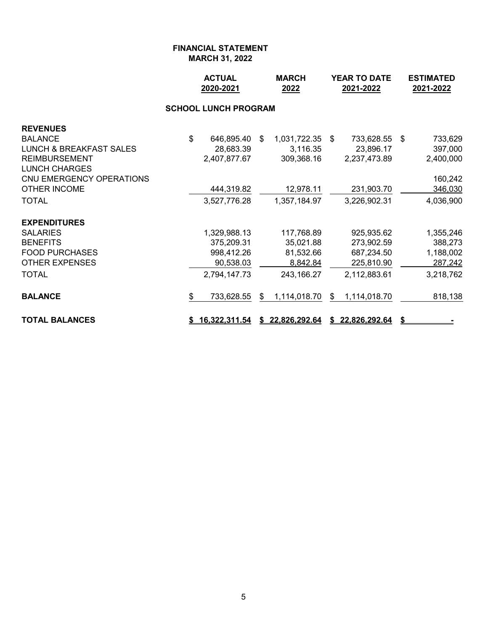|                                                                                                                                                                                            |    | <b>ACTUAL</b><br>2020-2021                                               |    | <b>MARCH</b><br>2022                                                   |    | YEAR TO DATE<br>2021-2022                                                | <b>ESTIMATED</b><br>2021-2022 |                                                                    |  |  |  |  |
|--------------------------------------------------------------------------------------------------------------------------------------------------------------------------------------------|----|--------------------------------------------------------------------------|----|------------------------------------------------------------------------|----|--------------------------------------------------------------------------|-------------------------------|--------------------------------------------------------------------|--|--|--|--|
| <b>SCHOOL LUNCH PROGRAM</b>                                                                                                                                                                |    |                                                                          |    |                                                                        |    |                                                                          |                               |                                                                    |  |  |  |  |
| <b>REVENUES</b><br><b>BALANCE</b><br><b>LUNCH &amp; BREAKFAST SALES</b><br><b>REIMBURSEMENT</b><br><b>LUNCH CHARGES</b><br>CNU EMERGENCY OPERATIONS<br><b>OTHER INCOME</b><br><b>TOTAL</b> | \$ | 646,895.40 \$<br>28,683.39<br>2,407,877.67<br>444,319.82<br>3,527,776.28 |    | 1,031,722.35 \$<br>3,116.35<br>309,368.16<br>12,978.11<br>1,357,184.97 |    | 733,628.55 \$<br>23,896.17<br>2,237,473.89<br>231,903.70<br>3,226,902.31 |                               | 733,629<br>397,000<br>2,400,000<br>160,242<br>346,030<br>4,036,900 |  |  |  |  |
| <b>EXPENDITURES</b><br><b>SALARIES</b><br><b>BENEFITS</b><br><b>FOOD PURCHASES</b><br><b>OTHER EXPENSES</b><br><b>TOTAL</b>                                                                |    | 1,329,988.13<br>375,209.31<br>998,412.26<br>90,538.03<br>2,794,147.73    |    | 117,768.89<br>35,021.88<br>81,532.66<br>8,842.84<br>243,166.27         |    | 925,935.62<br>273,902.59<br>687,234.50<br>225,810.90<br>2,112,883.61     |                               | 1,355,246<br>388,273<br>1,188,002<br>287,242<br>3,218,762          |  |  |  |  |
| <b>BALANCE</b><br><b>TOTAL BALANCES</b>                                                                                                                                                    | \$ | 733,628.55<br><u>16,322,311.54</u>                                       | \$ | 1,114,018.70<br>\$22,826,292.64                                        | \$ | 1,114,018.70<br>\$22,826,292.64                                          |                               | 818,138                                                            |  |  |  |  |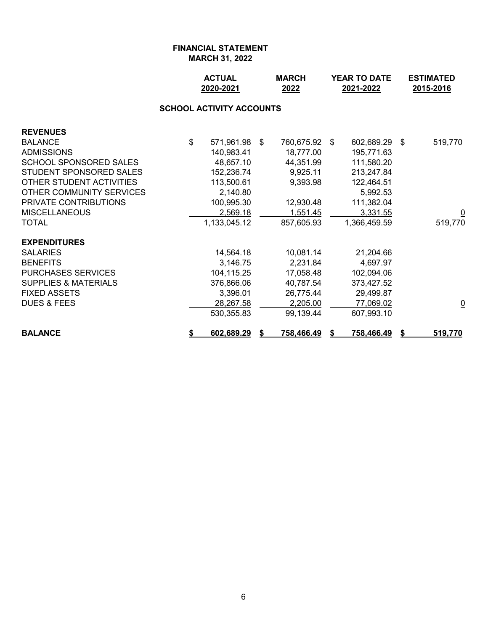|                                 |    | <b>ACTUAL</b><br><b>MARCH</b><br>2020-2021<br>2022 |  |                   |  | YEAR TO DATE<br>2021-2022 | <b>ESTIMATED</b><br>2015-2016 |                         |  |  |  |  |  |
|---------------------------------|----|----------------------------------------------------|--|-------------------|--|---------------------------|-------------------------------|-------------------------|--|--|--|--|--|
| <b>SCHOOL ACTIVITY ACCOUNTS</b> |    |                                                    |  |                   |  |                           |                               |                         |  |  |  |  |  |
| <b>REVENUES</b>                 |    |                                                    |  |                   |  |                           |                               |                         |  |  |  |  |  |
| <b>BALANCE</b>                  | \$ | 571,961.98 \$                                      |  | 760,675.92 \$     |  | 602,689.29                | -\$                           | 519,770                 |  |  |  |  |  |
| <b>ADMISSIONS</b>               |    | 140,983.41                                         |  | 18,777.00         |  | 195,771.63                |                               |                         |  |  |  |  |  |
| <b>SCHOOL SPONSORED SALES</b>   |    | 48,657.10                                          |  | 44,351.99         |  | 111,580.20                |                               |                         |  |  |  |  |  |
| STUDENT SPONSORED SALES         |    | 152,236.74                                         |  | 9,925.11          |  | 213,247.84                |                               |                         |  |  |  |  |  |
| OTHER STUDENT ACTIVITIES        |    | 113,500.61                                         |  | 9,393.98          |  | 122,464.51                |                               |                         |  |  |  |  |  |
| OTHER COMMUNITY SERVICES        |    | 2,140.80                                           |  |                   |  | 5,992.53                  |                               |                         |  |  |  |  |  |
| PRIVATE CONTRIBUTIONS           |    | 100,995.30                                         |  | 12,930.48         |  | 111,382.04                |                               |                         |  |  |  |  |  |
| <b>MISCELLANEOUS</b>            |    | 2,569.18                                           |  | 1,551.45          |  | 3,331.55                  |                               | $\overline{\mathsf{C}}$ |  |  |  |  |  |
| <b>TOTAL</b>                    |    | 1,133,045.12                                       |  | 857,605.93        |  | 1,366,459.59              |                               | 519,770                 |  |  |  |  |  |
| <b>EXPENDITURES</b>             |    |                                                    |  |                   |  |                           |                               |                         |  |  |  |  |  |
| <b>SALARIES</b>                 |    | 14,564.18                                          |  | 10,081.14         |  | 21,204.66                 |                               |                         |  |  |  |  |  |
| <b>BENEFITS</b>                 |    | 3,146.75                                           |  | 2,231.84          |  | 4,697.97                  |                               |                         |  |  |  |  |  |
| <b>PURCHASES SERVICES</b>       |    | 104,115.25                                         |  | 17,058.48         |  | 102,094.06                |                               |                         |  |  |  |  |  |
| <b>SUPPLIES &amp; MATERIALS</b> |    | 376,866.06                                         |  | 40,787.54         |  | 373,427.52                |                               |                         |  |  |  |  |  |
| <b>FIXED ASSETS</b>             |    | 3,396.01                                           |  | 26,775.44         |  | 29,499.87                 |                               |                         |  |  |  |  |  |
| <b>DUES &amp; FEES</b>          |    | 28,267.58                                          |  | 2,205.00          |  | 77,069.02                 |                               | $\overline{\mathsf{C}}$ |  |  |  |  |  |
|                                 |    | 530,355.83                                         |  | 99,139.44         |  | 607,993.10                |                               |                         |  |  |  |  |  |
| <b>BALANCE</b>                  | \$ | 602,689.29                                         |  | <u>758,466.49</u> |  | <u>758,466.49</u>         |                               | 519,770                 |  |  |  |  |  |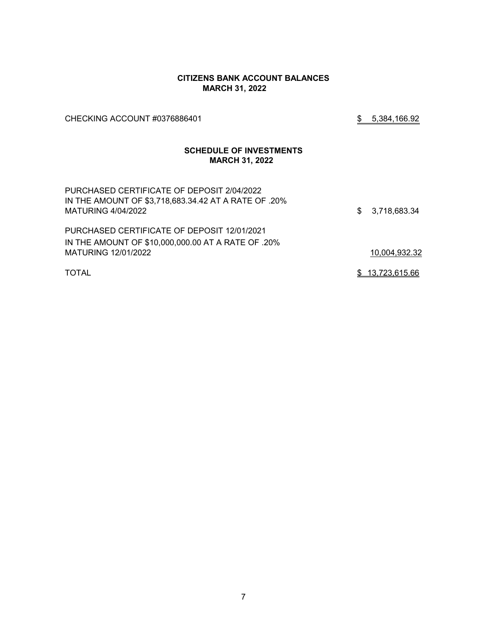### **CITIZENS BANK ACCOUNT BALANCES MARCH 31, 2022**

CHECKING ACCOUNT #0376886401 3 3 3 3 4 5,384,166.92

## **SCHEDULE OF INVESTMENTS MARCH 31, 2022**

| PURCHASED CERTIFICATE OF DEPOSIT 2/04/2022<br>IN THE AMOUNT OF \$3,718,683.34.42 AT A RATE OF .20%<br>MATURING 4/04/2022 | \$3,718,683.34  |
|--------------------------------------------------------------------------------------------------------------------------|-----------------|
| PURCHASED CERTIFICATE OF DEPOSIT 12/01/2021                                                                              |                 |
| IN THE AMOUNT OF \$10,000,000.00 AT A RATE OF .20%                                                                       |                 |
| MATURING 12/01/2022                                                                                                      | 10,004,932.32   |
| <b>TOTAL</b>                                                                                                             | \$13,723,615.66 |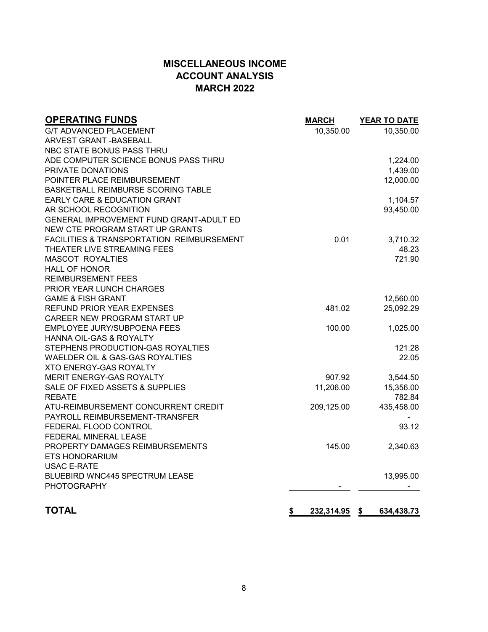# **MISCELLANEOUS INCOME ACCOUNT ANALYSIS MARCH 2022**

| <b>OPERATING FUNDS</b>                               | <b>MARCH</b> | <b>YEAR TO DATE</b> |
|------------------------------------------------------|--------------|---------------------|
| <b>G/T ADVANCED PLACEMENT</b>                        | 10,350.00    | 10,350.00           |
| <b>ARVEST GRANT - BASEBALL</b>                       |              |                     |
| NBC STATE BONUS PASS THRU                            |              |                     |
| ADE COMPUTER SCIENCE BONUS PASS THRU                 |              | 1,224.00            |
| PRIVATE DONATIONS                                    |              | 1,439.00            |
| POINTER PLACE REIMBURSEMENT                          |              | 12,000.00           |
| BASKETBALL REIMBURSE SCORING TABLE                   |              |                     |
| EARLY CARE & EDUCATION GRANT                         |              | 1,104.57            |
| AR SCHOOL RECOGNITION                                |              | 93,450.00           |
| GENERAL IMPROVEMENT FUND GRANT-ADULT ED              |              |                     |
| NEW CTE PROGRAM START UP GRANTS                      |              |                     |
| <b>FACILITIES &amp; TRANSPORTATION REIMBURSEMENT</b> | 0.01         | 3,710.32            |
| THEATER LIVE STREAMING FEES                          |              | 48.23               |
| <b>MASCOT ROYALTIES</b>                              |              | 721.90              |
| <b>HALL OF HONOR</b>                                 |              |                     |
| <b>REIMBURSEMENT FEES</b>                            |              |                     |
| PRIOR YEAR LUNCH CHARGES                             |              |                     |
| <b>GAME &amp; FISH GRANT</b>                         |              | 12,560.00           |
| REFUND PRIOR YEAR EXPENSES                           | 481.02       | 25,092.29           |
| CAREER NEW PROGRAM START UP                          |              |                     |
| EMPLOYEE JURY/SUBPOENA FEES                          | 100.00       | 1,025.00            |
| HANNA OIL-GAS & ROYALTY                              |              |                     |
| STEPHENS PRODUCTION-GAS ROYALTIES                    |              | 121.28              |
| WAELDER OIL & GAS-GAS ROYALTIES                      |              | 22.05               |
| XTO ENERGY-GAS ROYALTY                               |              |                     |
| MERIT ENERGY-GAS ROYALTY                             | 907.92       | 3,544.50            |
| SALE OF FIXED ASSETS & SUPPLIES                      | 11,206.00    | 15,356.00           |
| <b>REBATE</b>                                        |              | 782.84              |
| ATU-REIMBURSEMENT CONCURRENT CREDIT                  | 209,125.00   | 435,458.00          |
| PAYROLL REIMBURSEMENT-TRANSFER                       |              |                     |
| FEDERAL FLOOD CONTROL                                |              | 93.12               |
| FEDERAL MINERAL LEASE                                |              |                     |
| PROPERTY DAMAGES REIMBURSEMENTS                      | 145.00       | 2,340.63            |
| <b>ETS HONORARIUM</b>                                |              |                     |
| <b>USAC E-RATE</b>                                   |              |                     |
| <b>BLUEBIRD WNC445 SPECTRUM LEASE</b>                |              | 13,995.00           |
| <b>PHOTOGRAPHY</b>                                   |              |                     |
| <b>TOTAL</b><br>\$                                   | 232,314.95   | \$<br>634,438.73    |